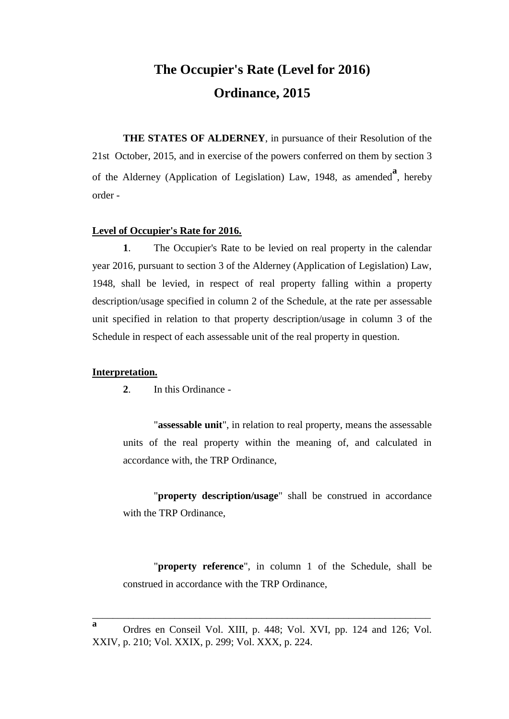# **The Occupier's Rate (Level for 2016) Ordinance, 2015**

**THE STATES OF ALDERNEY**, in pursuance of their Resolution of the 21st October, 2015, and in exercise of the powers conferred on them by section 3 of the Alderney (Application of Legislation) Law, 1948, as amended<sup>a</sup>, hereby order -

#### **Level of Occupier's Rate for 2016.**

**1**. The Occupier's Rate to be levied on real property in the calendar year 2016, pursuant to section 3 of the Alderney (Application of Legislation) Law, 1948, shall be levied, in respect of real property falling within a property description/usage specified in column 2 of the Schedule, at the rate per assessable unit specified in relation to that property description/usage in column 3 of the Schedule in respect of each assessable unit of the real property in question.

#### **Interpretation.**

**2**. In this Ordinance -

"**assessable unit**", in relation to real property, means the assessable units of the real property within the meaning of, and calculated in accordance with, the TRP Ordinance,

"**property description/usage**" shall be construed in accordance with the TRP Ordinance,

"**property reference**", in column 1 of the Schedule, shall be construed in accordance with the TRP Ordinance,

\_\_\_\_\_\_\_\_\_\_\_\_\_\_\_\_\_\_\_\_\_\_\_\_\_\_\_\_\_\_\_\_\_\_\_\_\_\_\_\_\_\_\_\_\_\_\_\_\_\_\_\_\_\_\_\_\_\_\_\_\_\_\_\_\_\_

**a**

Ordres en Conseil Vol. XIII, p. 448; Vol. XVI, pp. 124 and 126; Vol. XXIV, p. 210; Vol. XXIX, p. 299; Vol. XXX, p. 224.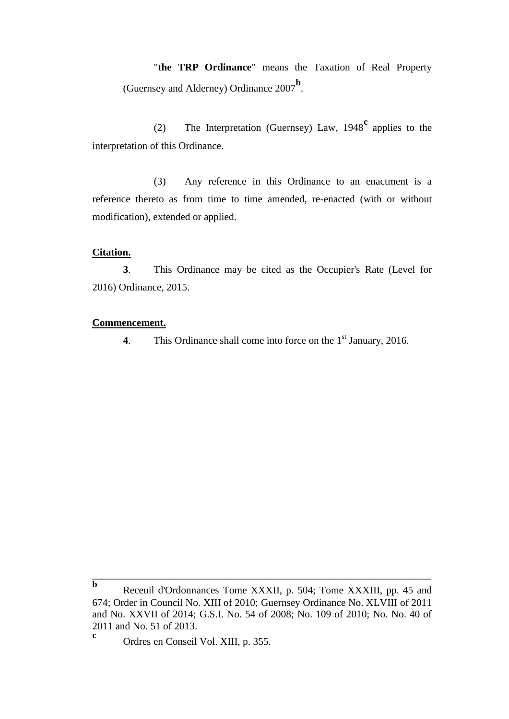"**the TRP Ordinance**" means the Taxation of Real Property (Guernsey and Alderney) Ordinance 2007**<sup>b</sup>** .

(2) The Interpretation (Guernsey) Law, 1948**<sup>c</sup>** applies to the interpretation of this Ordinance.

(3) Any reference in this Ordinance to an enactment is a reference thereto as from time to time amended, re-enacted (with or without modification), extended or applied.

## **Citation.**

**3**. This Ordinance may be cited as the Occupier's Rate (Level for 2016) Ordinance, 2015.

## **Commencement.**

**4**. This Ordinance shall come into force on the 1<sup>st</sup> January, 2016.

\_\_\_\_\_\_\_\_\_\_\_\_\_\_\_\_\_\_\_\_\_\_\_\_\_\_\_\_\_\_\_\_\_\_\_\_\_\_\_\_\_\_\_\_\_\_\_\_\_\_\_\_\_\_\_\_\_\_\_\_\_\_\_\_\_\_

**b** Receuil d'Ordonnances Tome XXXII, p. 504; Tome XXXIII, pp. 45 and 674; Order in Council No. XIII of 2010; Guernsey Ordinance No. XLVIII of 2011 and No. XXVII of 2014; G.S.I. No. 54 of 2008; No. 109 of 2010; No. No. 40 of 2011 and No. 51 of 2013.

**c** Ordres en Conseil Vol. XIII, p. 355.